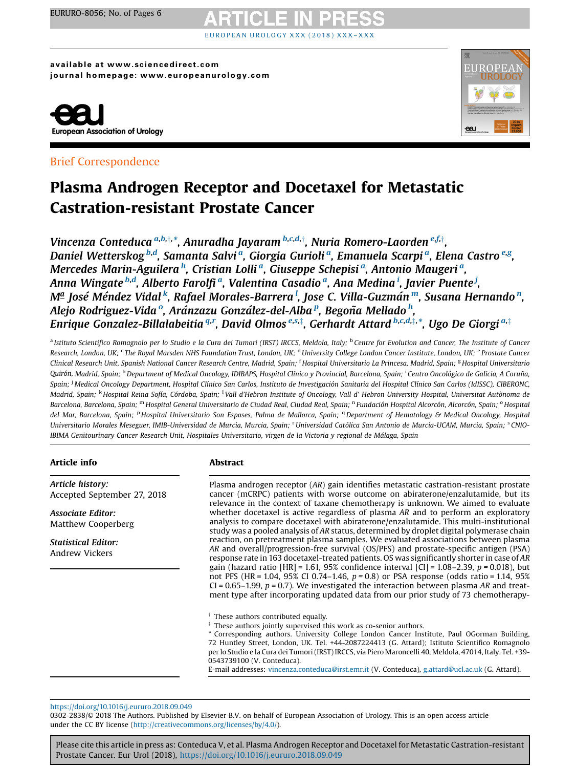## OPEAN UROLOGY XXX (2018) XXX

available at www.sciencedirect.com journal homepage: www.europeanurology.com



## Brief Correspondence



## Plasma Androgen Receptor and Docetaxel for Metastatic Castration-resistant Prostate Cancer

Vincenza Conteduca <sup>a,b,†,</sup>\*, Anuradha Jayaram <sup>b,c,d,†</sup>, Nuria Romero-Laorden <sup>e,f,†</sup>, Daniel Wetterskog <sup>b,d</sup>, Samanta Salvi <sup>a</sup>, Giorgia Gurioli <sup>a</sup>, Emanuela Scarpi <sup>a</sup>, Elena Castro <sup>e,g</sup>, Mercedes Marin-Aguilera <sup>h</sup>, Cristian Lolli <sup>a</sup>, Giuseppe Schepisi <sup>a</sup>, Antonio Maugeri <sup>a</sup>, Anna Wingate <sup>b,d</sup>, Alberto Farolfi <sup>a</sup>, Valentina Casadio <sup>a</sup>, Ana Medina <sup>i</sup>, Javier Puente <sup>j</sup>, Mª José Méndez Vidal <sup>k</sup>, Rafael Morales-Barrera <sup>l</sup>, Jose C. Villa-Guzmán <sup>m</sup>, Susana Hernando <sup>n</sup>, Alejo Rodriguez-Vida <sup>o</sup>, Aránzazu González-del-Alba <sup>p</sup>, Begoña Mellado <sup>h</sup>, Enrique Gonzalez-Billalabeitia <sup>q,r</sup>, David Olmos <sup>e,s,‡</sup>, Gerhardt Attard <sup>b,c,d,‡,</sup>\*, Ugo De Giorgi <sup>a,‡</sup>

<sup>a</sup> Istituto Scientifico Romagnolo per lo Studio e la Cura dei Tumori (IRST) IRCCS, Meldola, Italy; <sup>b</sup> Centre for Evolution and Cancer, The Institute of Cancer Research, London, UK; <sup>c</sup> The Royal Marsden NHS Foundation Trust, London, UK; <sup>d</sup> University College London Cancer Institute, London, UK; <sup>e</sup> Prostate Cancer Clinical Research Unit, Spanish National Cancer Research Centre, Madrid, Spain; <sup>f</sup> Hospital Universitario La Princesa, Madrid, Spain; <sup>g</sup> Hospital Universitario Quirón, Madrid, Spain; <sup>h</sup> Department of Medical Oncology, IDIBAPS, Hospital Clínico y Provincial, Barcelona, Spain; <sup>i</sup> Centro Oncológico de Galicia, A Coruña, Spain; <sup>j</sup> Medical Oncology Department, Hospital Clínico San Carlos, Instituto de Investigación Sanitaria del Hospital Clínico San Carlos (IdISSC), CIBERONC, Madrid, Spain; <sup>k</sup> Hospital Reina Sofía, Córdoba, Spain; <sup>1</sup>Vall d'Hebron Institute of Oncology, Vall d' Hebron University Hospital, Universitat Autònoma de Barcelona, Barcelona, Spain; <sup>m</sup> Hospital General Universitario de Ciudad Real, Ciudad Real, Spain; <sup>n</sup> Fundación Hospital Alcorcón, Alcorcón, Spain; <sup>o</sup> Hospital del Mar, Barcelona, Spain; <sup>p</sup> Hospital Universitario Son Espases, Palma de Mallorca, Spain; <sup>q</sup> Department of Hematology & Medical Oncology, Hospital Universitario Morales Meseguer, IMIB-Universidad de Murcia, Murcia, Spain; <sup>r</sup> Universidad Católica San Antonio de Murcia-UCAM, Murcia, Spain; <sup>s</sup> CNIO-IBIMA Genitourinary Cancer Research Unit, Hospitales Universitario, virgen de la Victoria y regional de Málaga, Spain

## Article info

Abstract

Article history: Accepted September 27, 2018

Associate Editor: Matthew Cooperberg

Statistical Editor: Andrew Vickers

### Plasma androgen receptor (AR) gain identifies metastatic castration-resistant prostate cancer (mCRPC) patients with worse outcome on abiraterone/enzalutamide, but its relevance in the context of taxane chemotherapy is unknown. We aimed to evaluate whether docetaxel is active regardless of plasma AR and to perform an exploratory analysis to compare docetaxel with abiraterone/enzalutamide. This multi-institutional study was a pooled analysis of AR status, determined by droplet digital polymerase chain reaction, on pretreatment plasma samples. We evaluated associations between plasma AR and overall/progression-free survival (OS/PFS) and prostate-specific antigen (PSA) response rate in 163 docetaxel-treated patients. OS was significantly shorter in case of AR gain (hazard ratio  $[HR] = 1.61$ , 95% confidence interval  $[CI] = 1.08 - 2.39$ ,  $p = 0.018$ ), but not PFS (HR = 1.04, 95% CI 0.74–1.46,  $p = 0.8$ ) or PSA response (odds ratio = 1.14, 95%  $CI = 0.65-1.99$ ,  $p = 0.7$ ). We investigated the interaction between plasma AR and treatment type after incorporating updated data from our prior study of 73 chemotherapy-

 $\dagger$  These authors contributed equally.

 $*$  These authors jointly supervised this work as co-senior authors.

\* Corresponding authors. University College London Cancer Institute, Paul OGorman Building, 72 Huntley Street, London, UK. Tel. +44-2087224413 (G. Attard); Istituto Scientifico Romagnolo per lo Studio e la Cura dei Tumori (IRST) IRCCS, via Piero Maroncelli 40, Meldola, 47014, Italy. Tel. +39- 0543739100 (V. Conteduca).

E-mail addresses: [vincenza.conteduca@irst.emr.it](mailto:vincenza.conteduca@irst.emr.it) (V. Conteduca), [g.attard@ucl.ac.uk](mailto:g.attard@ucl.ac.uk) (G. Attard).

<https://doi.org/10.1016/j.eururo.2018.09.049>

0302-2838/© 2018 The Authors. Published by Elsevier B.V. on behalf of European Association of Urology. This is an open access article under the CC BY license (<http://creativecommons.org/licenses/by/4.0/>).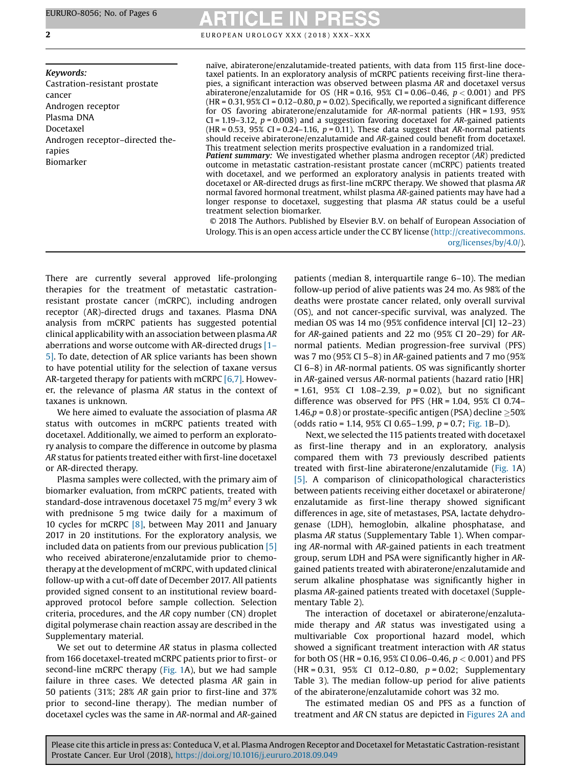Keywords: Castration-resistant prostate cancer Androgen receptor Plasma DNA Docetaxel Androgen receptor–directed therapies Biomarker

**2** EUROPEAN UROLOGY XXX (2018) XXX-XXX

naïve, abiraterone/enzalutamide-treated patients, with data from 115 first-line docetaxel patients. In an exploratory analysis of mCRPC patients receiving first-line therapies, a significant interaction was observed between plasma AR and docetaxel versus abiraterone/enzalutamide for OS (HR = 0.16, 95% CI = 0.06–0.46,  $p < 0.001$ ) and PFS (HR = 0.31,  $95\%$  CI = 0.12–0.80,  $p = 0.02$ ). Specifically, we reported a significant difference for OS favoring abiraterone/enzalutamide for AR-normal patients (HR = 1.93, 95%  $CI = 1.19 - 3.12$ ,  $p = 0.008$ ) and a suggestion favoring docetaxel for AR-gained patients  $(HR = 0.53, 95\% \text{ CI} = 0.24-1.16, p = 0.11)$ . These data suggest that AR-normal patients should receive abiraterone/enzalutamide and AR-gained could benefit from docetaxel. This treatment selection merits prospective evaluation in a randomized trial.

**Patient summary:** We investigated whether plasma androgen receptor (AR) predicted outcome in metastatic castration-resistant prostate cancer (mCRPC) patients treated with docetaxel, and we performed an exploratory analysis in patients treated with docetaxel or AR-directed drugs as first-line mCRPC therapy. We showed that plasma AR normal favored hormonal treatment, whilst plasma AR-gained patients may have had a longer response to docetaxel, suggesting that plasma AR status could be a useful treatment selection biomarker.

© 2018 The Authors. Published by Elsevier B.V. on behalf of European Association of Urology. This is an open access article under the CC BY license ([http://creativecommons.](http://creativecommons.org/licenses/by/4.0/) [org/licenses/by/4.0/](http://creativecommons.org/licenses/by/4.0/)).

There are currently several approved life-prolonging therapies for the treatment of metastatic castrationresistant prostate cancer (mCRPC), including androgen receptor (AR)-directed drugs and taxanes. Plasma DNA analysis from mCRPC patients has suggested potential clinical applicability with an association between plasma AR aberrations and worse outcome with AR-directed drugs [\[1](#page-4-0)– [5\].](#page-4-0) To date, detection of AR splice variants has been shown to have potential utility for the selection of taxane versus AR-targeted therapy for patients with mCRPC [\[6,7\]](#page-5-0). However, the relevance of plasma AR status in the context of taxanes is unknown.

We here aimed to evaluate the association of plasma AR status with outcomes in mCRPC patients treated with docetaxel. Additionally, we aimed to perform an exploratory analysis to compare the difference in outcome by plasma AR status for patients treated either with first-line docetaxel or AR-directed therapy.

Plasma samples were collected, with the primary aim of biomarker evaluation, from mCRPC patients, treated with standard-dose intravenous docetaxel 75 mg/m<sup>2</sup> every 3 wk with prednisone 5 mg twice daily for a maximum of 10 cycles for mCRPC [\[8\]](#page-5-0), between May 2011 and January 2017 in 20 institutions. For the exploratory analysis, we included data on patients from our previous publication [\[5\]](#page-5-0) who received abiraterone/enzalutamide prior to chemotherapy at the development of mCRPC, with updated clinical follow-up with a cut-off date of December 2017. All patients provided signed consent to an institutional review boardapproved protocol before sample collection. Selection criteria, procedures, and the AR copy number (CN) droplet digital polymerase chain reaction assay are described in the Supplementary material.

We set out to determine AR status in plasma collected from 166 docetaxel-treated mCRPC patients prior to first- or second-line mCRPC therapy ([Fig.](#page-2-0) 1A), but we had sample failure in three cases. We detected plasma AR gain in 50 patients (31%; 28% AR gain prior to first-line and 37% prior to second-line therapy). The median number of docetaxel cycles was the same in AR-normal and AR-gained patients (median 8, interquartile range 6–10). The median follow-up period of alive patients was 24 mo. As 98% of the deaths were prostate cancer related, only overall survival (OS), and not cancer-specific survival, was analyzed. The median OS was 14 mo (95% confidence interval [CI] 12–23) for AR-gained patients and 22 mo (95% CI 20–29) for ARnormal patients. Median progression-free survival (PFS) was 7 mo (95% CI 5–8) in AR-gained patients and 7 mo (95% CI 6–8) in AR-normal patients. OS was significantly shorter in AR-gained versus AR-normal patients (hazard ratio [HR]  $= 1.61, 95\%$  CI 1.08-2.39,  $p = 0.02$ ), but no significant difference was observed for PFS (HR = 1.04, 95% CI 0.74–  $1.46, p = 0.8$ ) or prostate-specific antigen (PSA) decline  $\geq 50\%$ (odds ratio = 1.14, 95% CI 0.65–1.99, p = 0.7; [Fig.](#page-2-0) 1B–D).

Next, we selected the 115 patients treated with docetaxel as first-line therapy and in an exploratory, analysis compared them with 73 previously described patients treated with first-line abiraterone/enzalutamide ([Fig.](#page-2-0) 1A) [\[5\].](#page-5-0) A comparison of clinicopathological characteristics between patients receiving either docetaxel or abiraterone/ enzalutamide as first-line therapy showed significant differences in age, site of metastases, PSA, lactate dehydrogenase (LDH), hemoglobin, alkaline phosphatase, and plasma AR status (Supplementary Table 1). When comparing AR-normal with AR-gained patients in each treatment group, serum LDH and PSA were significantly higher in ARgained patients treated with abiraterone/enzalutamide and serum alkaline phosphatase was significantly higher in plasma AR-gained patients treated with docetaxel (Supplementary Table 2).

The interaction of docetaxel or abiraterone/enzalutamide therapy and AR status was investigated using a multivariable Cox proportional hazard model, which showed a significant treatment interaction with AR status for both OS (HR = 0.16, 95% CI 0.06–0.46,  $p < 0.001$ ) and PFS (HR = 0.31, 95% CI 0.12-0.80,  $p = 0.02$ ; Supplementary Table 3). The median follow-up period for alive patients of the abiraterone/enzalutamide cohort was 32 mo.

The estimated median OS and PFS as a function of treatment and AR CN status are depicted in [Figures](#page-3-0) 2A and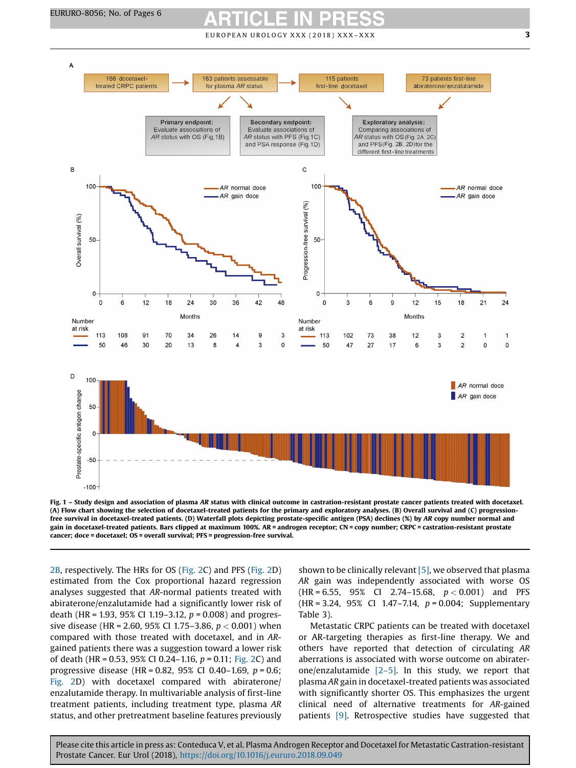$E$  U RO PEAN UROLOGY XXX (2018) XXX-XXX  $\sim$  3

<span id="page-2-0"></span>

Fig. 1 – Study design and association of plasma AR status with clinical outcome in castration-resistant prostate cancer patients treated with docetaxel. (A) Flow chart showing the selection of docetaxel-treated patients for the primary and exploratory analyses. (B) Overall survival and (C) progressionfree survival in docetaxel-treated patients. (D) Waterfall plots depicting prostate-specific antigen (PSA) declines (%) by AR copy number normal and gain in docetaxel-treated patients. Bars clipped at maximum 100%. AR = androgen receptor; CN = copy number; CRPC = castration-resistant prostate cancer; doce = docetaxel; OS = overall survival; PFS = progression-free survival.

[2B](#page-3-0), respectively. The HRs for OS [\(Fig.](#page-3-0) 2C) and PFS ([Fig.](#page-3-0) 2D) estimated from the Cox proportional hazard regression analyses suggested that AR-normal patients treated with abiraterone/enzalutamide had a significantly lower risk of death (HR = 1.93, 95% CI 1.19–3.12,  $p = 0.008$ ) and progressive disease (HR = 2.60, 95% CI 1.75–3.86,  $p < 0.001$ ) when compared with those treated with docetaxel, and in ARgained patients there was a suggestion toward a lower risk of death (HR = 0.53, 95% CI 0.24–1.16,  $p = 0.11$ ; [Fig.](#page-3-0) 2C) and progressive disease (HR = 0.82, 95% CI 0.40-1.69,  $p = 0.6$ ; [Fig.](#page-3-0) 2D) with docetaxel compared with abiraterone/ enzalutamide therapy. In multivariable analysis of first-line treatment patients, including treatment type, plasma AR status, and other pretreatment baseline features previously

shown to be clinically relevant  $[5]$ , we observed that plasma AR gain was independently associated with worse OS  $(HR = 6.55, 95\% \text{ CI} 2.74-15.68, p < 0.001)$  and PFS  $(HR = 3.24, 95\% \text{ CI} 1.47 - 7.14, p = 0.004; \text{Supplementary}$ Table 3).

Metastatic CRPC patients can be treated with docetaxel or AR-targeting therapies as first-line therapy. We and others have reported that detection of circulating AR aberrations is associated with worse outcome on abiraterone/enzalutamide  $[2-5]$ . In this study, we report that plasma AR gain in docetaxel-treated patients was associated with significantly shorter OS. This emphasizes the urgent clinical need of alternative treatments for AR-gained patients [\[9\].](#page-5-0) Retrospective studies have suggested that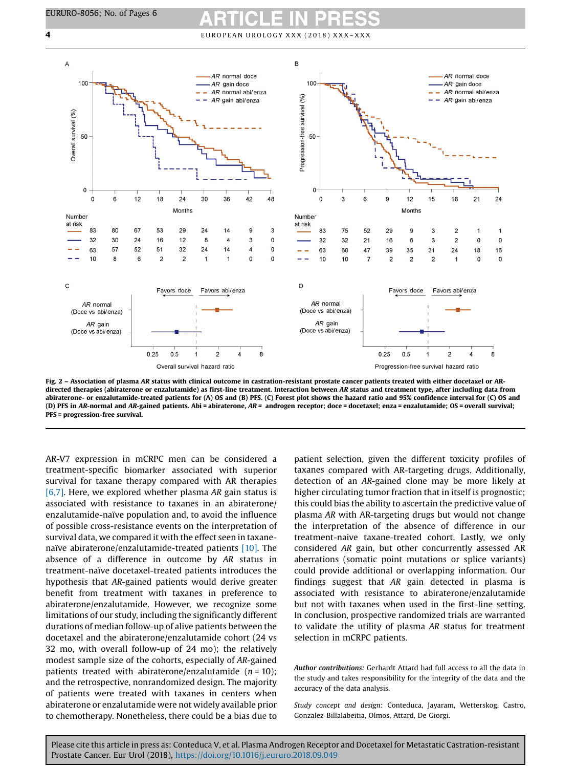## <span id="page-3-0"></span>**4** EUROPEAN UROLOGY XXX (2018) XXX-XXX



Fig. 2 – Association of plasma AR status with clinical outcome in castration-resistant prostate cancer patients treated with either docetaxel or ARdirected therapies (abiraterone or enzalutamide) as first-line treatment. Interaction between AR status and treatment type, after including data from abiraterone- or enzalutamide-treated patients for (A) OS and (B) PFS. (C) Forest plot shows the hazard ratio and 95% confidence interval for (C) OS and (D) PFS in AR-normal and AR-gained patients. Abi = abiraterone, AR = androgen receptor; doce = docetaxel; enza = enzalutamide; OS = overall survival; PFS = progression-free survival.

AR-V7 expression in mCRPC men can be considered a treatment-specific biomarker associated with superior survival for taxane therapy compared with AR therapies [\[6,7\].](#page-5-0) Here, we explored whether plasma AR gain status is associated with resistance to taxanes in an abiraterone/ enzalutamide-naïve population and, to avoid the influence of possible cross-resistance events on the interpretation of survival data, we compared it with the effect seen in taxanenaïve abiraterone/enzalutamide-treated patients [\[10\]](#page-5-0). The absence of a difference in outcome by AR status in treatment-naïve docetaxel-treated patients introduces the hypothesis that AR-gained patients would derive greater benefit from treatment with taxanes in preference to abiraterone/enzalutamide. However, we recognize some limitations of our study, including the significantly different durations of median follow-up of alive patients between the docetaxel and the abiraterone/enzalutamide cohort (24 vs 32 mo, with overall follow-up of 24 mo); the relatively modest sample size of the cohorts, especially of AR-gained patients treated with abiraterone/enzalutamide  $(n = 10)$ ; and the retrospective, nonrandomized design. The majority of patients were treated with taxanes in centers when abiraterone or enzalutamide were not widely available prior to chemotherapy. Nonetheless, there could be a bias due to patient selection, given the different toxicity profiles of taxanes compared with AR-targeting drugs. Additionally, detection of an AR-gained clone may be more likely at higher circulating tumor fraction that in itself is prognostic; this could bias the ability to ascertain the predictive value of plasma AR with AR-targeting drugs but would not change the interpretation of the absence of difference in our treatment-naive taxane-treated cohort. Lastly, we only considered AR gain, but other concurrently assessed AR aberrations (somatic point mutations or splice variants) could provide additional or overlapping information. Our findings suggest that AR gain detected in plasma is associated with resistance to abiraterone/enzalutamide but not with taxanes when used in the first-line setting. In conclusion, prospective randomized trials are warranted to validate the utility of plasma AR status for treatment selection in mCRPC patients.

Author contributions: Gerhardt Attard had full access to all the data in the study and takes responsibility for the integrity of the data and the accuracy of the data analysis.

Study concept and design: Conteduca, Jayaram, Wetterskog, Castro, Gonzalez-Billalabeitia, Olmos, Attard, De Giorgi.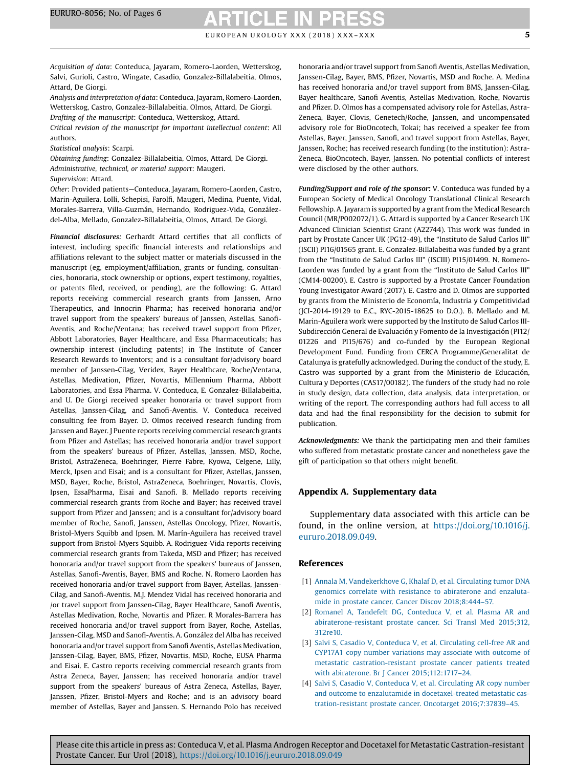## E U RO PEAN UROLOGY XXX (2018) XXX-XXX SALE AND THE RESERVED ASSEMBLY A NORTH THE RESERVED ASSEMBLY A SET OF S

<span id="page-4-0"></span>Acquisition of data: Conteduca, Jayaram, Romero-Laorden, Wetterskog, Salvi, Gurioli, Castro, Wingate, Casadio, Gonzalez-Billalabeitia, Olmos, Attard, De Giorgi.

Analysis and interpretation of data: Conteduca, Jayaram, Romero-Laorden, Wetterskog, Castro, Gonzalez-Billalabeitia, Olmos, Attard, De Giorgi.

Drafting of the manuscript: Conteduca, Wetterskog, Attard.

Critical revision of the manuscript for important intellectual content: All authors.

Statistical analysis: Scarpi.

Obtaining funding: Gonzalez-Billalabeitia, Olmos, Attard, De Giorgi. Administrative, technical, or material support: Maugeri. Supervision: Attard.

Other: Provided patients—Conteduca, Jayaram, Romero-Laorden, Castro, Marin-Aguilera, Lolli, Schepisi, Farolfi, Maugeri, Medina, Puente, Vidal, Morales-Barrera, Villa-Guzmán, Hernando, Rodriguez-Vida, Gonzálezdel-Alba, Mellado, Gonzalez-Billalabeitia, Olmos, Attard, De Giorgi.

Financial disclosures: Gerhardt Attard certifies that all conflicts of interest, including specific financial interests and relationships and affiliations relevant to the subject matter or materials discussed in the manuscript (eg, employment/affiliation, grants or funding, consultancies, honoraria, stock ownership or options, expert testimony, royalties, or patents filed, received, or pending), are the following: G. Attard reports receiving commercial research grants from Janssen, Arno Therapeutics, and Innocrin Pharma; has received honoraria and/or travel support from the speakers' bureaus of Janssen, Astellas, Sanofi-Aventis, and Roche/Ventana; has received travel support from Pfizer, Abbott Laboratories, Bayer Healthcare, and Essa Pharmaceuticals; has ownership interest (including patents) in The Institute of Cancer Research Rewards to Inventors; and is a consultant for/advisory board member of Janssen-Cilag, Veridex, Bayer Healthcare, Roche/Ventana, Astellas, Medivation, Pfizer, Novartis, Millennium Pharma, Abbott Laboratories, and Essa Pharma. V. Conteduca, E. Gonzalez-Billalabeitia, and U. De Giorgi received speaker honoraria or travel support from Astellas, Janssen-Cilag, and Sanofi-Aventis. V. Conteduca received consulting fee from Bayer. D. Olmos received research funding from Janssen and Bayer. J Puente reports receiving commercial research grants from Pfizer and Astellas; has received honoraria and/or travel support from the speakers' bureaus of Pfizer, Astellas, Janssen, MSD, Roche, Bristol, AstraZeneca, Boehringer, Pierre Fabre, Kyowa, Celgene, Lilly, Merck, Ipsen and Eisai; and is a consultant for Pfizer, Astellas, Janssen, MSD, Bayer, Roche, Bristol, AstraZeneca, Boehringer, Novartis, Clovis, Ipsen, EssaPharma, Eisai and Sanofi. B. Mellado reports receiving commercial research grants from Roche and Bayer; has received travel support from Pfizer and Janssen; and is a consultant for/advisory board member of Roche, Sanofi, Janssen, Astellas Oncology, Pfizer, Novartis, Bristol-Myers Squibb and Ipsen. M. Marín-Aguilera has received travel support from Bristol-Myers Squibb. A. Rodriguez-Vida reports receiving commercial research grants from Takeda, MSD and Pfizer; has received honoraria and/or travel support from the speakers' bureaus of Janssen, Astellas, Sanofi-Aventis, Bayer, BMS and Roche. N. Romero Laorden has received honoraria and/or travel support from Bayer, Astellas, Janssen-Cilag, and Sanofi-Aventis. M.J. Mendez Vidal has received honoraria and /or travel support from Janssen-Cilag, Bayer Healthcare, Sanofi Aventis, Astellas Medivation, Roche, Novartis and Pfizer. R Morales-Barrera has received honoraria and/or travel support from Bayer, Roche, Astellas, Janssen-Cilag, MSD and Sanofi-Aventis. A. González del Alba has received honoraria and/or travel support from Sanofi Aventis, Astellas Medivation, Janssen-Cilag, Bayer, BMS, Pfizer, Novartis, MSD, Roche, EUSA Pharma and Eisai. E. Castro reports receiving commercial research grants from Astra Zeneca, Bayer, Janssen; has received honoraria and/or travel support from the speakers' bureaus of Astra Zeneca, Astellas, Bayer, Janssen, Pfizer, Bristol-Myers and Roche; and is an advisory board member of Astellas, Bayer and Janssen. S. Hernando Polo has received honoraria and/or travel support from Sanofi Aventis, Astellas Medivation, Janssen-Cilag, Bayer, BMS, Pfizer, Novartis, MSD and Roche. A. Medina has received honoraria and/or travel support from BMS, Janssen-Cilag, Bayer healthcare, Sanofi Aventis, Astellas Medivation, Roche, Novartis and Pfizer. D. Olmos has a compensated advisory role for Astellas, Astra-Zeneca, Bayer, Clovis, Genetech/Roche, Janssen, and uncompensated advisory role for BioOncotech, Tokai; has received a speaker fee from Astellas, Bayer, Janssen, Sanofi, and travel support from Astellas, Bayer, Janssen, Roche; has received research funding (to the institution): Astra-Zeneca, BioOncotech, Bayer, Janssen. No potential conflicts of interest were disclosed by the other authors.

Funding/Support and role of the sponsor: V. Conteduca was funded by a European Society of Medical Oncology Translational Clinical Research Fellowship. A. Jayaram is supported by a grant from the Medical Research Council (MR/P002072/1). G. Attard is supported by a Cancer Research UK Advanced Clinician Scientist Grant (A22744). This work was funded in part by Prostate Cancer UK (PG12-49), the "Instituto de Salud Carlos III" (ISCII) PI16/01565 grant. E. Gonzalez-Billalabeitia was funded by a grant from the "Instituto de Salud Carlos III" (ISCIII) PI15/01499. N. Romero-Laorden was funded by a grant from the "Instituto de Salud Carlos III" (CM14-00200). E. Castro is supported by a Prostate Cancer Foundation Young Investigator Award (2017). E. Castro and D. Olmos are supported by grants from the Ministerio de Economía, Industria y Competitividad (JCI-2014-19129 to E.C., RYC-2015-18625 to D.O.). B. Mellado and M. Marin-Aguilera work were supported by the Instituto de Salud Carlos III-Subdirección General de Evaluación y Fomento de la Investigación (PI12/ 01226 and PI15/676) and co-funded by the European Regional Development Fund. Funding from CERCA Programme/Generalitat de Catalunya is gratefully acknowledged. During the conduct of the study, E. Castro was supported by a grant from the Ministerio de Educación, Cultura y Deportes (CAS17/00182). The funders of the study had no role in study design, data collection, data analysis, data interpretation, or writing of the report. The corresponding authors had full access to all data and had the final responsibility for the decision to submit for publication.

Acknowledgments: We thank the participating men and their families who suffered from metastatic prostate cancer and nonetheless gave the gift of participation so that others might benefit.

### Appendix A. Supplementary data

Supplementary data associated with this article can be found, in the online version, at [https://doi.org/10.1016/j.](http://dx.doi.org/10.1016/j.eururo.2018.09.049) [eururo.2018.09.049.](http://dx.doi.org/10.1016/j.eururo.2018.09.049)

### References

- [1] Annala M, [Vandekerkhove](http://refhub.elsevier.com/S0302-2838(18)30739-5/sbref0055) G, Khalaf D, et al. Circulating tumor DNA genomics correlate with resistance to [abiraterone](http://refhub.elsevier.com/S0302-2838(18)30739-5/sbref0055) and enzalutamide in prostate cancer. Cancer Discov [2018;8:444](http://refhub.elsevier.com/S0302-2838(18)30739-5/sbref0055)–57.
- [2] Romanel A, Tandefelt DG, [Conteduca](http://refhub.elsevier.com/S0302-2838(18)30739-5/sbref0060) V, et al. Plasma AR and [abiraterone-resistant](http://refhub.elsevier.com/S0302-2838(18)30739-5/sbref0060) prostate cancer. Sci Transl Med 2015;312, [312re10](http://refhub.elsevier.com/S0302-2838(18)30739-5/sbref0060).
- [3] Salvi S, Casadio V, Conteduca V, et al. [Circulating](http://refhub.elsevier.com/S0302-2838(18)30739-5/sbref0065) cell-free AR and CYP17A1 copy number [variations](http://refhub.elsevier.com/S0302-2838(18)30739-5/sbref0065) may associate with outcome of metastatic [castration-resistant](http://refhub.elsevier.com/S0302-2838(18)30739-5/sbref0065) prostate cancer patients treated with abiraterone. Br J Cancer [2015;112:1717](http://refhub.elsevier.com/S0302-2838(18)30739-5/sbref0065)–24.
- [4] Salvi S, Casadio V, Conteduca V, et al. [Circulating](http://refhub.elsevier.com/S0302-2838(18)30739-5/sbref0070) AR copy number and outcome to enzalutamide in [docetaxel-treated](http://refhub.elsevier.com/S0302-2838(18)30739-5/sbref0070) metastatic cas[tration-resistant](http://refhub.elsevier.com/S0302-2838(18)30739-5/sbref0070) prostate cancer. Oncotarget 2016;7:37839–45.